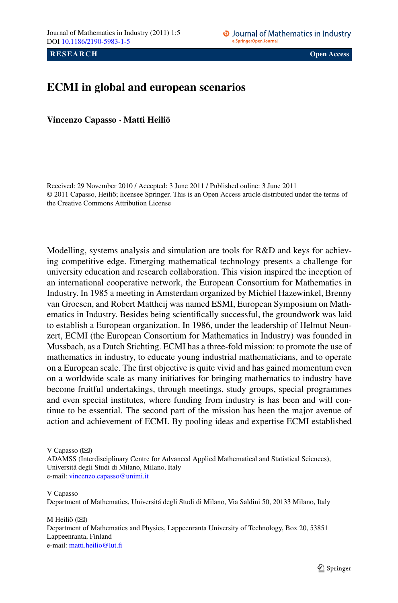**RESEARCH CONSUMING A RESEARCH CONSUMING A RESEARCH CONSUMING A RESEARCH** 

# **ECMI in global and european scenarios**

**Vincenzo Capasso · Matti Heiliö**

Received: 29 November 2010 / Accepted: 3 June 2011 / Published online: 3 June 2011 © 2011 Capasso, Heiliö; licensee Springer. This is an Open Access article distributed under the terms of the Creative Commons Attribution License

Modelling, systems analysis and simulation are tools for R&D and keys for achieving competitive edge. Emerging mathematical technology presents a challenge for university education and research collaboration. This vision inspired the inception of an international cooperative network, the European Consortium for Mathematics in Industry. In 1985 a meeting in Amsterdam organized by Michiel Hazewinkel, Brenny van Groesen, and Robert Mattheij was named ESMI, European Symposium on Mathematics in Industry. Besides being scientifically successful, the groundwork was laid to establish a European organization. In 1986, under the leadership of Helmut Neunzert, ECMI (the European Consortium for Mathematics in Industry) was founded in Mussbach, as a Dutch Stichting. ECMI has a three-fold mission: to promote the use of mathematics in industry, to educate young industrial mathematicians, and to operate on a European scale. The first objective is quite vivid and has gained momentum even on a worldwide scale as many initiatives for bringing mathematics to industry have become fruitful undertakings, through meetings, study groups, special programmes and even special institutes, where funding from industry is has been and will continue to be essential. The second part of the mission has been the major avenue of action and achievement of ECMI. By pooling ideas and expertise ECMI established

V Capasso  $(\boxtimes)$ 

ADAMSS (Interdisciplinary Centre for Advanced Applied Mathematical and Statistical Sciences), Universitá degli Studi di Milano, Milano, Italy e-mail: [vincenzo.capasso@unimi.it](mailto:vincenzo.capasso@unimi.it)

V Capasso Department of Mathematics, Universitá degli Studi di Milano, Via Saldini 50, 20133 Milano, Italy

M Heiliö ( $\boxtimes$ ) Department of Mathematics and Physics, Lappeenranta University of Technology, Box 20, 53851 Lappeenranta, Finland e-mail: [matti.heilio@lut.fi](mailto:matti.heilio@lut.fi)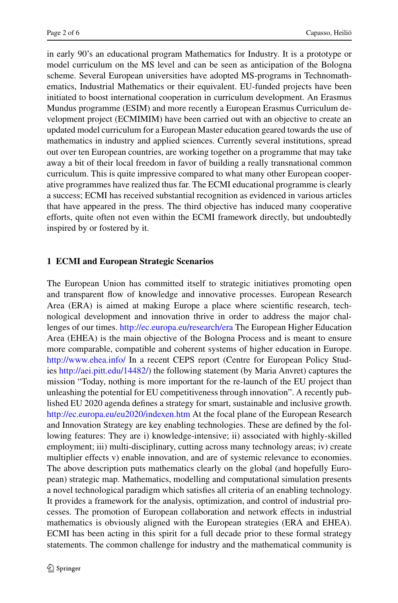in early 90's an educational program Mathematics for Industry. It is a prototype or model curriculum on the MS level and can be seen as anticipation of the Bologna scheme. Several European universities have adopted MS-programs in Technomathematics, Industrial Mathematics or their equivalent. EU-funded projects have been initiated to boost international cooperation in curriculum development. An Erasmus Mundus programme (ESIM) and more recently a European Erasmus Curriculum development project (ECMIMIM) have been carried out with an objective to create an updated model curriculum for a European Master education geared towards the use of mathematics in industry and applied sciences. Currently several institutions, spread out over ten European countries, are working together on a programme that may take away a bit of their local freedom in favor of building a really transnational common curriculum. This is quite impressive compared to what many other European cooperative programmes have realized thus far. The ECMI educational programme is clearly a success; ECMI has received substantial recognition as evidenced in various articles that have appeared in the press. The third objective has induced many cooperative efforts, quite often not even within the ECMI framework directly, but undoubtedly inspired by or fostered by it.

## **1 ECMI and European Strategic Scenarios**

The European Union has committed itself to strategic initiatives promoting open and transparent flow of knowledge and innovative processes. European Research Area (ERA) is aimed at making Europe a place where scientific research, technological development and innovation thrive in order to address the major challenges of our times. <http://ec.europa.eu/research/era> The European Higher Education Area (EHEA) is the main objective of the Bologna Process and is meant to ensure more comparable, compatible and coherent systems of higher education in Europe. <http://www.ehea.info/> In a recent CEPS report (Centre for European Policy Studies [http://aei.pitt.edu/14482/\)](http://aei.pitt.edu/14482/) the following statement (by Maria Anvret) captures the mission "Today, nothing is more important for the re-launch of the EU project than unleashing the potential for EU competitiveness through innovation". A recently published EU 2020 agenda defines a strategy for smart, sustainable and inclusive growth. <http://ec.europa.eu/eu2020/indexen.htm> At the focal plane of the European Research and Innovation Strategy are key enabling technologies. These are defined by the following features: They are i) knowledge-intensive; ii) associated with highly-skilled employment; iii) multi-disciplinary, cutting across many technology areas; iv) create multiplier effects v) enable innovation, and are of systemic relevance to economies. The above description puts mathematics clearly on the global (and hopefully European) strategic map. Mathematics, modelling and computational simulation presents a novel technological paradigm which satisfies all criteria of an enabling technology. It provides a framework for the analysis, optimization, and control of industrial processes. The promotion of European collaboration and network effects in industrial mathematics is obviously aligned with the European strategies (ERA and EHEA). ECMI has been acting in this spirit for a full decade prior to these formal strategy statements. The common challenge for industry and the mathematical community is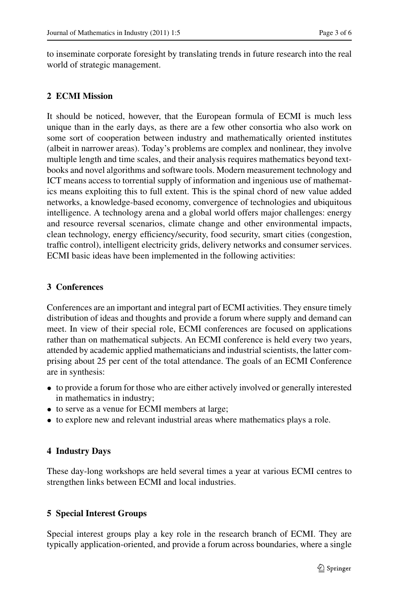to inseminate corporate foresight by translating trends in future research into the real world of strategic management.

#### **2 ECMI Mission**

It should be noticed, however, that the European formula of ECMI is much less unique than in the early days, as there are a few other consortia who also work on some sort of cooperation between industry and mathematically oriented institutes (albeit in narrower areas). Today's problems are complex and nonlinear, they involve multiple length and time scales, and their analysis requires mathematics beyond textbooks and novel algorithms and software tools. Modern measurement technology and ICT means access to torrential supply of information and ingenious use of mathematics means exploiting this to full extent. This is the spinal chord of new value added networks, a knowledge-based economy, convergence of technologies and ubiquitous intelligence. A technology arena and a global world offers major challenges: energy and resource reversal scenarios, climate change and other environmental impacts, clean technology, energy efficiency/security, food security, smart cities (congestion, traffic control), intelligent electricity grids, delivery networks and consumer services. ECMI basic ideas have been implemented in the following activities:

## **3 Conferences**

Conferences are an important and integral part of ECMI activities. They ensure timely distribution of ideas and thoughts and provide a forum where supply and demand can meet. In view of their special role, ECMI conferences are focused on applications rather than on mathematical subjects. An ECMI conference is held every two years, attended by academic applied mathematicians and industrial scientists, the latter comprising about 25 per cent of the total attendance. The goals of an ECMI Conference are in synthesis:

- to provide a forum for those who are either actively involved or generally interested in mathematics in industry;
- to serve as a venue for ECMI members at large;
- to explore new and relevant industrial areas where mathematics plays a role.

## **4 Industry Days**

These day-long workshops are held several times a year at various ECMI centres to strengthen links between ECMI and local industries.

## **5 Special Interest Groups**

Special interest groups play a key role in the research branch of ECMI. They are typically application-oriented, and provide a forum across boundaries, where a single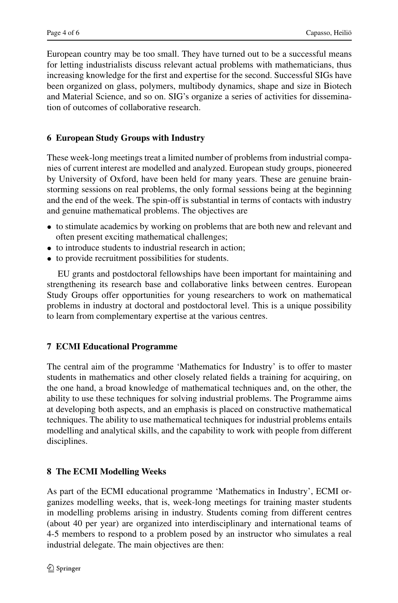European country may be too small. They have turned out to be a successful means for letting industrialists discuss relevant actual problems with mathematicians, thus increasing knowledge for the first and expertise for the second. Successful SIGs have been organized on glass, polymers, multibody dynamics, shape and size in Biotech and Material Science, and so on. SIG's organize a series of activities for dissemination of outcomes of collaborative research.

# **6 European Study Groups with Industry**

These week-long meetings treat a limited number of problems from industrial companies of current interest are modelled and analyzed. European study groups, pioneered by University of Oxford, have been held for many years. These are genuine brainstorming sessions on real problems, the only formal sessions being at the beginning and the end of the week. The spin-off is substantial in terms of contacts with industry and genuine mathematical problems. The objectives are

- to stimulate academics by working on problems that are both new and relevant and often present exciting mathematical challenges;
- to introduce students to industrial research in action;
- to provide recruitment possibilities for students.

EU grants and postdoctoral fellowships have been important for maintaining and strengthening its research base and collaborative links between centres. European Study Groups offer opportunities for young researchers to work on mathematical problems in industry at doctoral and postdoctoral level. This is a unique possibility to learn from complementary expertise at the various centres.

## **7 ECMI Educational Programme**

The central aim of the programme 'Mathematics for Industry' is to offer to master students in mathematics and other closely related fields a training for acquiring, on the one hand, a broad knowledge of mathematical techniques and, on the other, the ability to use these techniques for solving industrial problems. The Programme aims at developing both aspects, and an emphasis is placed on constructive mathematical techniques. The ability to use mathematical techniques for industrial problems entails modelling and analytical skills, and the capability to work with people from different disciplines.

## **8 The ECMI Modelling Weeks**

As part of the ECMI educational programme 'Mathematics in Industry', ECMI organizes modelling weeks, that is, week-long meetings for training master students in modelling problems arising in industry. Students coming from different centres (about 40 per year) are organized into interdisciplinary and international teams of 4-5 members to respond to a problem posed by an instructor who simulates a real industrial delegate. The main objectives are then: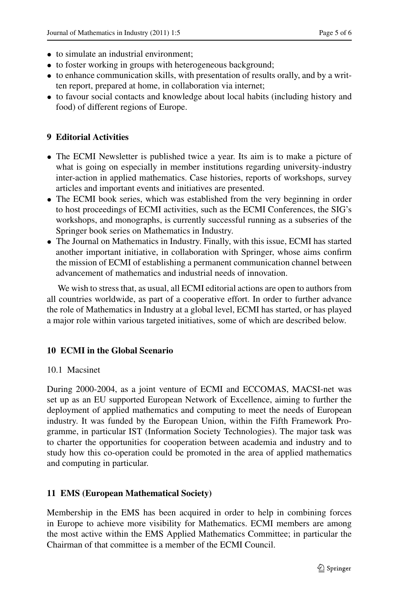- to simulate an industrial environment:
- to foster working in groups with heterogeneous background;
- to enhance communication skills, with presentation of results orally, and by a written report, prepared at home, in collaboration via internet;
- to favour social contacts and knowledge about local habits (including history and food) of different regions of Europe.

# **9 Editorial Activities**

- The ECMI Newsletter is published twice a year. Its aim is to make a picture of what is going on especially in member institutions regarding university-industry inter-action in applied mathematics. Case histories, reports of workshops, survey articles and important events and initiatives are presented.
- The ECMI book series, which was established from the very beginning in order to host proceedings of ECMI activities, such as the ECMI Conferences, the SIG's workshops, and monographs, is currently successful running as a subseries of the Springer book series on Mathematics in Industry.
- The Journal on Mathematics in Industry. Finally, with this issue, ECMI has started another important initiative, in collaboration with Springer, whose aims confirm the mission of ECMI of establishing a permanent communication channel between advancement of mathematics and industrial needs of innovation.

We wish to stress that, as usual, all ECMI editorial actions are open to authors from all countries worldwide, as part of a cooperative effort. In order to further advance the role of Mathematics in Industry at a global level, ECMI has started, or has played a major role within various targeted initiatives, some of which are described below.

## **10 ECMI in the Global Scenario**

## 10.1 Macsinet

During 2000-2004, as a joint venture of ECMI and ECCOMAS, MACSI-net was set up as an EU supported European Network of Excellence, aiming to further the deployment of applied mathematics and computing to meet the needs of European industry. It was funded by the European Union, within the Fifth Framework Programme, in particular IST (Information Society Technologies). The major task was to charter the opportunities for cooperation between academia and industry and to study how this co-operation could be promoted in the area of applied mathematics and computing in particular.

## **11 EMS (European Mathematical Society)**

Membership in the EMS has been acquired in order to help in combining forces in Europe to achieve more visibility for Mathematics. ECMI members are among the most active within the EMS Applied Mathematics Committee; in particular the Chairman of that committee is a member of the ECMI Council.